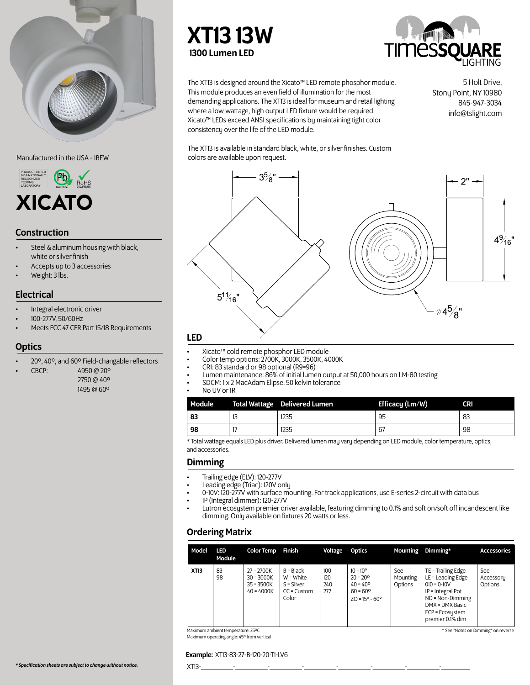

### Manufactured in the USA - IBEW



### Construction

- Steel & aluminum housing with black, white or silver finish
- Accepts up to 3 accessories
- Weight: 3 lbs.

### Electrical

- Integral electronic driver
- 100-277V, 50/60Hz
- Meets FCC 47 CFR Part 15/18 Requirements

### **Optics**

- 20º, 40º, and 60º Field-changable reflectors
- CBCP: 4950 @ 20º
	- 2750 @ 40º 1495 @ 60º

# XT13 13W 1300 Lumen LED



The XT13 is designed around the Xicato™ LED remote phosphor module. This module produces an even field of illumination for the most demanding applications. The XT13 is ideal for museum and retail lighting where a low wattage, high output LED fixture would be required. Xicato™ LEDs exceed ANSI specifications by maintaining tight color consistency over the life of the LED module.

5 Holt Drive, Stony Point, NY 10980 845-947-3034 info@tslight.com

The XT13 is available in standard black, white, or silver finishes. Custom colors are available upon request.



- 
- 
- 
- Xicato™ cold remote phosphor LED module<br>Color temp options: 2700K, 3000K, 3500K, 4000K<br>CRI: 83 standard or 98 optional (R9=96)<br>Lumen maintenance: 86% of initial lumen output at 50,000 hours on LM-80 testing<br>SDCM: 1 x 2 Ma
- -

| Module |    | <b>Total Wattage</b> Delivered Lumen | Efficacy (Lm/W) | <b>CRI</b> |
|--------|----|--------------------------------------|-----------------|------------|
| 83     | 13 | 1235                                 | 95              | 83         |
| 98     |    | 1235                                 | 67              | 98         |

\* Total wattage equals LED plus driver. Delivered lumen may vary depending on LED module, color temperature, optics, and accessories.

### Dimming

- Trailing edge (ELV): 120-277V
- Leading edge (Triac): 120V only
- 0-10V: 120-277V with surface mounting. For track applications, use E-series 2-circuit with data bus
- IP (Integral dimmer): 120-277V
- Lutron ecosystem premier driver available, featuring dimming to 0.1% and soft on/soft off incandescent like dimming. Only available on fixtures 20 watts or less.

## Ordering Matrix

| <b>XT13</b><br>83<br>TE = Trailing Edge<br>$B = Black$<br>100<br>$27 = 2700K$<br>$10 = 10^{\circ}$<br>See<br>See<br>LE = Leading Edge<br>98<br>$W = White$<br>120<br>$20 = 20^{\circ}$<br>$30 = 3000K$<br>Mounting<br>$S =$ Silver<br>240<br>$35 = 3500K$<br>$40 = 40^{\circ}$<br>Options<br>Options<br>$010 = 0 - 10V$<br>277<br>IP = Integral Pot<br>$40 = 4000K$<br>$60 = 60^{\circ}$<br>$CC =$ Custom | Model | LED<br>Module | <b>Color Temp</b> | Finish | Voltage | Optics | <b>Mounting</b> | Dimming*         | <b>Accessories</b> |
|-----------------------------------------------------------------------------------------------------------------------------------------------------------------------------------------------------------------------------------------------------------------------------------------------------------------------------------------------------------------------------------------------------------|-------|---------------|-------------------|--------|---------|--------|-----------------|------------------|--------------------|
| $ZO = 15^{\circ} - 60^{\circ}$<br>DMX = DMX Basic<br>$ECP = Ecos$<br>premier 0.1% dim                                                                                                                                                                                                                                                                                                                     |       |               |                   | Color  |         |        |                 | ND = Non-Dimming | Accessory          |

Maximum ambient temperature: 35ºC Maximum operating angle: 45º from vertical

### \* See "Notes on Dimming" on reverse

Example: XT13-83-27-B-120-20-T1-LV6